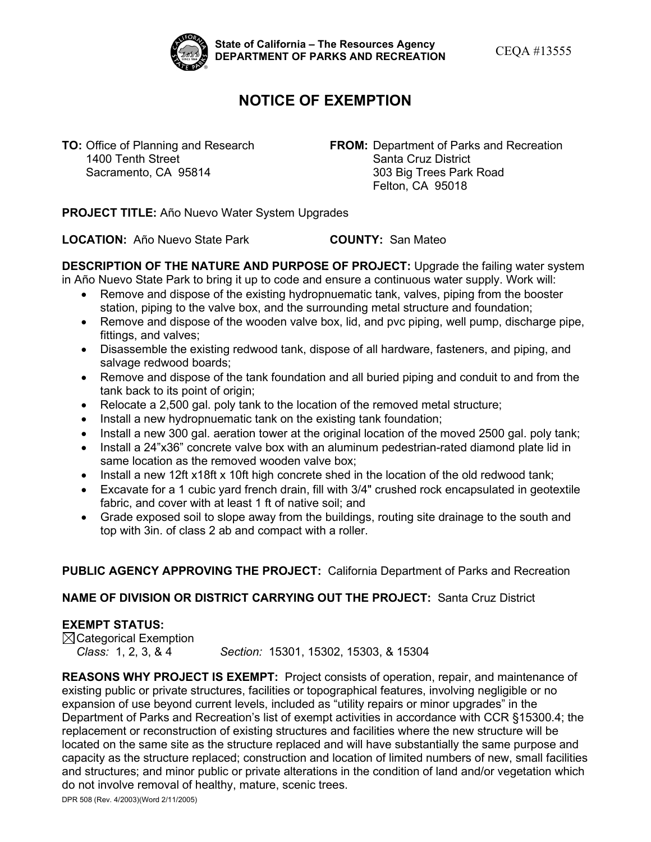

State of California – The Resources Agency<br>DEPARTMENT OF PARKS AND RECREATION **CEQA #13555** 

## **NOTICE OF EXEMPTION**

**TO:** Office of Planning and Research **FROM:** Department of Parks and Recreation<br> **FROM:** Department of Parks and Recreation<br>
Santa Cruz District Santa Cruz District Sacramento, CA 95814 303 Big Trees Park Road Felton, CA 95018

**PROJECT TITLE:** Año Nuevo Water System Upgrades

**LOCATION:** Año Nuevo State Park **COUNTY:** San Mateo

 **DESCRIPTION OF THE NATURE AND PURPOSE OF PROJECT:** Upgrade the failing water system in Año Nuevo State Park to bring it up to code and ensure a continuous water supply. Work will:

- • Remove and dispose of the existing hydropnuematic tank, valves, piping from the booster station, piping to the valve box, and the surrounding metal structure and foundation;
- • Remove and dispose of the wooden valve box, lid, and pvc piping, well pump, discharge pipe, fittings, and valves;
- Disassemble the existing redwood tank, dispose of all hardware, fasteners, and piping, and salvage redwood boards;
- • Remove and dispose of the tank foundation and all buried piping and conduit to and from the tank back to its point of origin;
- Relocate a 2,500 gal. poly tank to the location of the removed metal structure;
- Install a new hydropnuematic tank on the existing tank foundation;
- Install a new 300 gal. aeration tower at the original location of the moved 2500 gal. poly tank;
- Install a 24"x36" concrete valve box with an aluminum pedestrian-rated diamond plate lid in same location as the removed wooden valve box;
- Install a new 12ft x18ft x 10ft high concrete shed in the location of the old redwood tank;
- • Excavate for a 1 cubic yard french drain, fill with 3/4" crushed rock encapsulated in geotextile fabric, and cover with at least 1 ft of native soil; and
- • Grade exposed soil to slope away from the buildings, routing site drainage to the south and top with 3in. of class 2 ab and compact with a roller.

## **PUBLIC AGENCY APPROVING THE PROJECT:** California Department of Parks and Recreation

## **NAME OF DIVISION OR DISTRICT CARRYING OUT THE PROJECT:** Santa Cruz District

## **EXEMPT STATUS:**

Class: 1, 2, 3, & 4  $\boxtimes$ Categorical Exemption *Class:* 1, 2, 3, & 4 *Section:* 15301, 15302, 15303, & 15304

 **REASONS WHY PROJECT IS EXEMPT:** Project consists of operation, repair, and maintenance of capacity as the structure replaced; construction and location of limited numbers of new, small facilities existing public or private structures, facilities or topographical features, involving negligible or no expansion of use beyond current levels, included as "utility repairs or minor upgrades" in the Department of Parks and Recreation's list of exempt activities in accordance with CCR §15300.4; the replacement or reconstruction of existing structures and facilities where the new structure will be located on the same site as the structure replaced and will have substantially the same purpose and and structures; and minor public or private alterations in the condition of land and/or vegetation which do not involve removal of healthy, mature, scenic trees.

DPR 508 (Rev. 4/2003)(Word 2/11/2005)